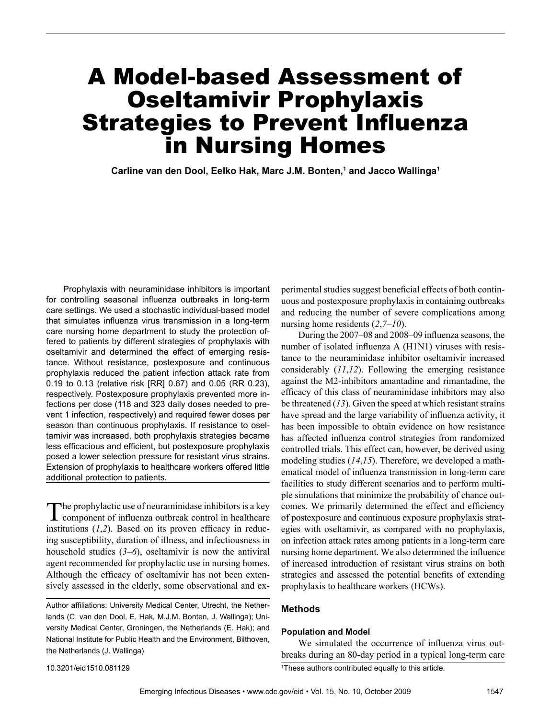# A Model-based Assessment of Oseltamivir Prophylaxis Strategies to Prevent Influenza in Nursing Homes

**Carline van den Dool, Eelko Hak, Marc J.M. Bonten,1 and Jacco Wallinga1**

Prophylaxis with neuraminidase inhibitors is important for controlling seasonal influenza outbreaks in long-term care settings. We used a stochastic individual-based model that simulates influenza virus transmission in a long-term care nursing home department to study the protection offered to patients by different strategies of prophylaxis with oseltamivir and determined the effect of emerging resistance. Without resistance, postexposure and continuous prophylaxis reduced the patient infection attack rate from 0.19 to 0.13 (relative risk [RR] 0.67) and 0.05 (RR 0.23), respectively. Postexposure prophylaxis prevented more infections per dose (118 and 323 daily doses needed to prevent 1 infection, respectively) and required fewer doses per season than continuous prophylaxis. If resistance to oseltamivir was increased, both prophylaxis strategies became less efficacious and efficient, but postexposure prophylaxis posed a lower selection pressure for resistant virus strains. Extension of prophylaxis to healthcare workers offered little additional protection to patients.

The prophylactic use of neuraminidase inhibitors is a key component of influenza outbreak control in healthcare institutions (*1*,*2*). Based on its proven efficacy in reducing susceptibility, duration of illness, and infectiousness in household studies (*3*–*6*), oseltamivir is now the antiviral agent recommended for prophylactic use in nursing homes. Although the efficacy of oseltamivir has not been extensively assessed in the elderly, some observational and ex-

Author affiliations: University Medical Center, Utrecht, the Netherlands (C. van den Dool, E. Hak, M.J.M. Bonten, J. Wallinga); University Medical Center, Groningen, the Netherlands (E. Hak); and National Institute for Public Health and the Environment, Bilthoven, the Netherlands (J. Wallinga)

perimental studies suggest beneficial effects of both continuous and postexposure prophylaxis in containing outbreaks and reducing the number of severe complications among nursing home residents (*2*,*7*–*10*).

During the 2007–08 and 2008–09 influenza seasons, the number of isolated influenza A (H1N1) viruses with resistance to the neuraminidase inhibitor oseltamivir increased considerably (*11*,*12*). Following the emerging resistance against the M2-inhibitors amantadine and rimantadine, the efficacy of this class of neuraminidase inhibitors may also be threatened (*13*). Given the speed at which resistant strains have spread and the large variability of influenza activity, it has been impossible to obtain evidence on how resistance has affected influenza control strategies from randomized controlled trials. This effect can, however, be derived using modeling studies (*14*,*15*). Therefore, we developed a mathematical model of influenza transmission in long-term care facilities to study different scenarios and to perform multiple simulations that minimize the probability of chance outcomes. We primarily determined the effect and efficiency of postexposure and continuous exposure prophylaxis strategies with oseltamivir, as compared with no prophylaxis, on infection attack rates among patients in a long-term care nursing home department. We also determined the influence of increased introduction of resistant virus strains on both strategies and assessed the potential benefits of extending prophylaxis to healthcare workers (HCWs).

# **Methods**

#### **Population and Model**

We simulated the occurrence of influenza virus outbreaks during an 80-day period in a typical long-term care

<sup>10.3201/</sup>eid1510.081129

<sup>1</sup> These authors contributed equally to this article.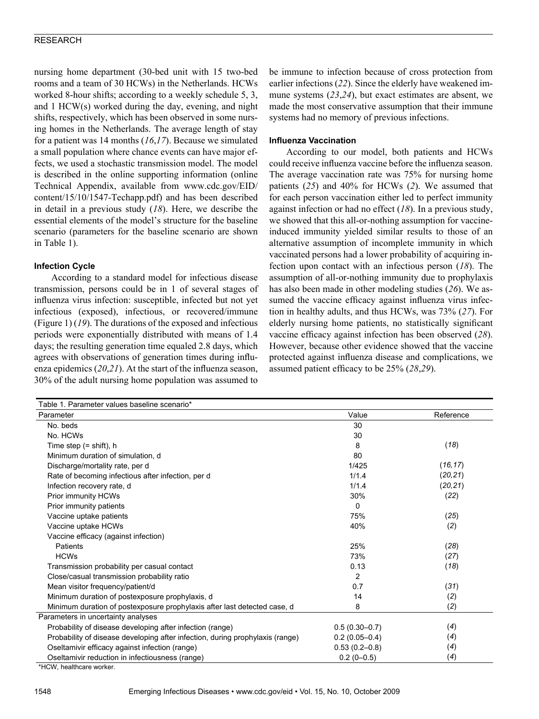nursing home department (30-bed unit with 15 two-bed rooms and a team of 30 HCWs) in the Netherlands. HCWs worked 8-hour shifts; according to a weekly schedule 5, 3, and 1 HCW(s) worked during the day, evening, and night shifts, respectively, which has been observed in some nursing homes in the Netherlands. The average length of stay for a patient was 14 months (*16*,*17*). Because we simulated a small population where chance events can have major effects, we used a stochastic transmission model. The model is described in the online supporting information (online Technical Appendix, available from www.cdc.gov/EID/ content/15/10/1547-Techapp.pdf) and has been described in detail in a previous study (*18*). Here, we describe the essential elements of the model's structure for the baseline scenario (parameters for the baseline scenario are shown in Table 1).

# **Infection Cycle**

According to a standard model for infectious disease transmission, persons could be in 1 of several stages of influenza virus infection: susceptible, infected but not yet infectious (exposed), infectious, or recovered/immune (Figure 1) (*19*). The durations of the exposed and infectious periods were exponentially distributed with means of 1.4 days; the resulting generation time equaled 2.8 days, which agrees with observations of generation times during influenza epidemics (*20*,*21*). At the start of the influenza season, 30% of the adult nursing home population was assumed to be immune to infection because of cross protection from earlier infections (*22*). Since the elderly have weakened immune systems (*23*,*24*), but exact estimates are absent, we made the most conservative assumption that their immune systems had no memory of previous infections.

## **Influenza Vaccination**

According to our model, both patients and HCWs could receive influenza vaccine before the influenza season. The average vaccination rate was 75% for nursing home patients (*25*) and 40% for HCWs (*2*). We assumed that for each person vaccination either led to perfect immunity against infection or had no effect (*18*). In a previous study, we showed that this all-or-nothing assumption for vaccineinduced immunity yielded similar results to those of an alternative assumption of incomplete immunity in which vaccinated persons had a lower probability of acquiring infection upon contact with an infectious person (*18*). The assumption of all-or-nothing immunity due to prophylaxis has also been made in other modeling studies (*26*). We assumed the vaccine efficacy against influenza virus infection in healthy adults, and thus HCWs, was 73% (*27*). For elderly nursing home patients, no statistically significant vaccine efficacy against infection has been observed (*28*). However, because other evidence showed that the vaccine protected against influenza disease and complications, we assumed patient efficacy to be 25% (*28*,*29*).

| Table 1. Parameter values baseline scenario*                                  |                   |           |
|-------------------------------------------------------------------------------|-------------------|-----------|
| Parameter                                                                     | Value             | Reference |
| No. beds                                                                      | 30                |           |
| No. HCWs                                                                      | 30                |           |
| Time step $(=$ shift), h                                                      | 8                 | (18)      |
| Minimum duration of simulation, d                                             | 80                |           |
| Discharge/mortality rate, per d                                               | 1/425             | (16, 17)  |
| Rate of becoming infectious after infection, per d                            | 1/1.4             | (20, 21)  |
| Infection recovery rate, d                                                    | 1/1.4             | (20, 21)  |
| Prior immunity HCWs                                                           | 30%               | (22)      |
| Prior immunity patients                                                       | 0                 |           |
| Vaccine uptake patients                                                       | 75%               | (25)      |
| Vaccine uptake HCWs                                                           | 40%               | (2)       |
| Vaccine efficacy (against infection)                                          |                   |           |
| Patients                                                                      | 25%               | (28)      |
| <b>HCWs</b>                                                                   | 73%               | (27)      |
| Transmission probability per casual contact                                   | 0.13              | (18)      |
| Close/casual transmission probability ratio                                   | 2                 |           |
| Mean visitor frequency/patient/d                                              | 0.7               | (31)      |
| Minimum duration of postexposure prophylaxis, d                               | 14                | (2)       |
| Minimum duration of postexposure prophylaxis after last detected case, d      | 8                 | (2)       |
| Parameters in uncertainty analyses                                            |                   |           |
| Probability of disease developing after infection (range)                     | $0.5(0.30 - 0.7)$ | (4)       |
| Probability of disease developing after infection, during prophylaxis (range) | $0.2(0.05 - 0.4)$ | (4)       |
| Oseltamivir efficacy against infection (range)                                | $0.53(0.2 - 0.8)$ | (4)       |
| Oseltamivir reduction in infectiousness (range)                               | $0.2(0-0.5)$      | (4)       |

\*HCW, healthcare worker.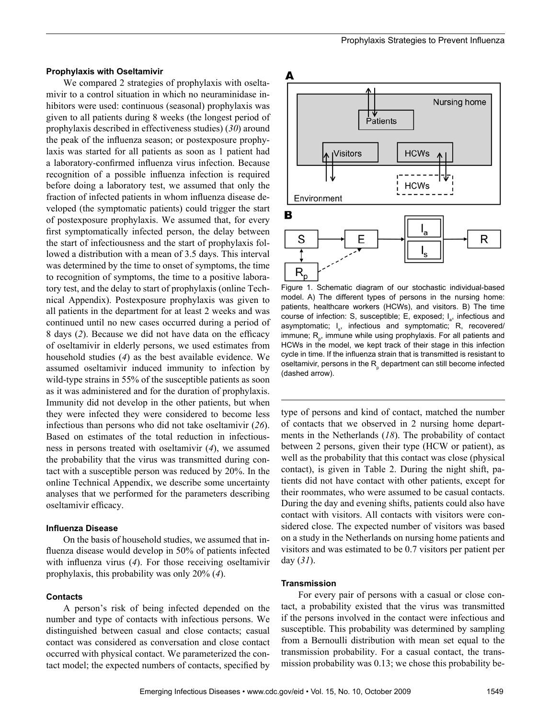## **Prophylaxis with Oseltamivir**

We compared 2 strategies of prophylaxis with oseltamivir to a control situation in which no neuraminidase inhibitors were used: continuous (seasonal) prophylaxis was given to all patients during 8 weeks (the longest period of prophylaxis described in effectiveness studies) (*30*) around the peak of the influenza season; or postexposure prophylaxis was started for all patients as soon as 1 patient had a laboratory-confirmed influenza virus infection. Because recognition of a possible influenza infection is required before doing a laboratory test, we assumed that only the fraction of infected patients in whom influenza disease developed (the symptomatic patients) could trigger the start of postexposure prophylaxis. We assumed that, for every first symptomatically infected person, the delay between the start of infectiousness and the start of prophylaxis followed a distribution with a mean of 3.5 days. This interval was determined by the time to onset of symptoms, the time to recognition of symptoms, the time to a positive laboratory test, and the delay to start of prophylaxis (online Technical Appendix). Postexposure prophylaxis was given to all patients in the department for at least 2 weeks and was continued until no new cases occurred during a period of 8 days (*2*). Because we did not have data on the efficacy of oseltamivir in elderly persons, we used estimates from household studies (*4*) as the best available evidence. We assumed oseltamivir induced immunity to infection by wild-type strains in 55% of the susceptible patients as soon as it was administered and for the duration of prophylaxis. Immunity did not develop in the other patients, but when they were infected they were considered to become less infectious than persons who did not take oseltamivir (*26*). Based on estimates of the total reduction in infectiousness in persons treated with oseltamivir (*4*), we assumed the probability that the virus was transmitted during contact with a susceptible person was reduced by 20%. In the online Technical Appendix, we describe some uncertainty analyses that we performed for the parameters describing oseltamivir efficacy.

#### **Influenza Disease**

On the basis of household studies, we assumed that influenza disease would develop in 50% of patients infected with influenza virus (*4*). For those receiving oseltamivir prophylaxis, this probability was only 20% (*4*).

#### **Contacts**

A person's risk of being infected depended on the number and type of contacts with infectious persons. We distinguished between casual and close contacts; casual contact was considered as conversation and close contact occurred with physical contact. We parameterized the contact model; the expected numbers of contacts, specified by



Figure 1. Schematic diagram of our stochastic individual-based model. A) The different types of persons in the nursing home: patients, healthcare workers (HCWs), and visitors. B) The time course of infection: S, susceptible; E, exposed; I<sub>a</sub>, infectious and asymptomatic; I<sub>s</sub>, infectious and symptomatic; R, recovered/ immune; R<sub>p</sub>, immune while using prophylaxis. For all patients and HCWs in the model, we kept track of their stage in this infection cycle in time. If the influenza strain that is transmitted is resistant to oseltamivir, persons in the  $R_{\rho}$  department can still become infected (dashed arrow).

type of persons and kind of contact, matched the number of contacts that we observed in 2 nursing home departments in the Netherlands (*18*). The probability of contact between 2 persons, given their type (HCW or patient), as well as the probability that this contact was close (physical contact), is given in Table 2. During the night shift, patients did not have contact with other patients, except for their roommates, who were assumed to be casual contacts. During the day and evening shifts, patients could also have contact with visitors. All contacts with visitors were considered close. The expected number of visitors was based on a study in the Netherlands on nursing home patients and visitors and was estimated to be 0.7 visitors per patient per day (*31*).

#### **Transmission**

For every pair of persons with a casual or close contact, a probability existed that the virus was transmitted if the persons involved in the contact were infectious and susceptible. This probability was determined by sampling from a Bernoulli distribution with mean set equal to the transmission probability. For a casual contact, the transmission probability was 0.13; we chose this probability be-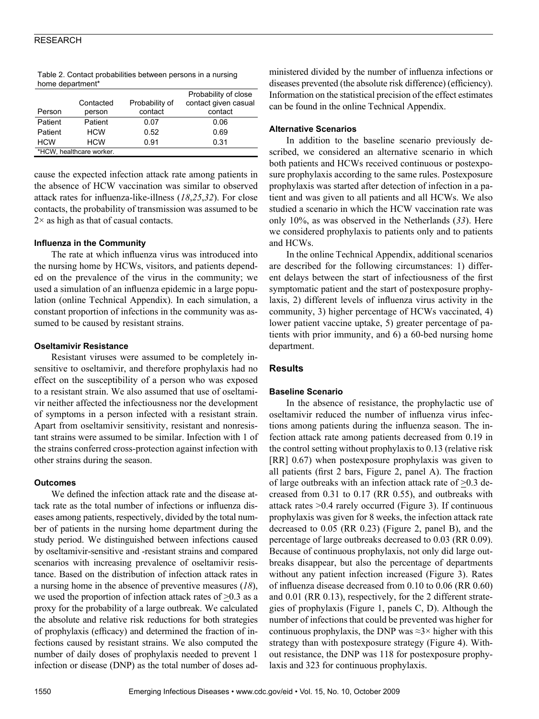|                          |            |                | Probability of close |  |
|--------------------------|------------|----------------|----------------------|--|
|                          | Contacted  | Probability of | contact given casual |  |
| Person                   | person     | contact        | contact              |  |
| Patient                  | Patient    | 0.07           | 0.06                 |  |
| Patient                  | <b>HCW</b> | 0.52           | 0.69                 |  |
| <b>HCW</b>               | <b>HCW</b> | 0.91           | 0.31                 |  |
| *HCW, healthcare worker. |            |                |                      |  |

Table 2. Contact probabilities between persons in a nursing home department\*

cause the expected infection attack rate among patients in the absence of HCW vaccination was similar to observed attack rates for influenza-like-illness (*18*,*25*,*32*). For close contacts, the probability of transmission was assumed to be  $2\times$  as high as that of casual contacts.

## **Influenza in the Community**

The rate at which influenza virus was introduced into the nursing home by HCWs, visitors, and patients depended on the prevalence of the virus in the community; we used a simulation of an influenza epidemic in a large population (online Technical Appendix). In each simulation, a constant proportion of infections in the community was assumed to be caused by resistant strains.

## **Oseltamivir Resistance**

Resistant viruses were assumed to be completely insensitive to oseltamivir, and therefore prophylaxis had no effect on the susceptibility of a person who was exposed to a resistant strain. We also assumed that use of oseltamivir neither affected the infectiousness nor the development of symptoms in a person infected with a resistant strain. Apart from oseltamivir sensitivity, resistant and nonresistant strains were assumed to be similar. Infection with 1 of the strains conferred cross-protection against infection with other strains during the season.

# **Outcomes**

We defined the infection attack rate and the disease attack rate as the total number of infections or influenza diseases among patients, respectively, divided by the total number of patients in the nursing home department during the study period. We distinguished between infections caused by oseltamivir-sensitive and -resistant strains and compared scenarios with increasing prevalence of oseltamivir resistance. Based on the distribution of infection attack rates in a nursing home in the absence of preventive measures (*18*), we used the proportion of infection attack rates of  $\geq 0.3$  as a proxy for the probability of a large outbreak. We calculated the absolute and relative risk reductions for both strategies of prophylaxis (efficacy) and determined the fraction of infections caused by resistant strains. We also computed the number of daily doses of prophylaxis needed to prevent 1 infection or disease (DNP) as the total number of doses ad-

ministered divided by the number of influenza infections or diseases prevented (the absolute risk difference) (efficiency). Information on the statistical precision of the effect estimates can be found in the online Technical Appendix.

## **Alternative Scenarios**

In addition to the baseline scenario previously described, we considered an alternative scenario in which both patients and HCWs received continuous or postexposure prophylaxis according to the same rules. Postexposure prophylaxis was started after detection of infection in a patient and was given to all patients and all HCWs. We also studied a scenario in which the HCW vaccination rate was only 10%, as was observed in the Netherlands (*33*). Here we considered prophylaxis to patients only and to patients and HCWs.

In the online Technical Appendix, additional scenarios are described for the following circumstances: 1) different delays between the start of infectiousness of the first symptomatic patient and the start of postexposure prophylaxis, 2) different levels of influenza virus activity in the community, 3) higher percentage of HCWs vaccinated, 4) lower patient vaccine uptake, 5) greater percentage of patients with prior immunity, and 6) a 60-bed nursing home department.

# **Results**

# **Baseline Scenario**

In the absence of resistance, the prophylactic use of oseltamivir reduced the number of influenza virus infections among patients during the influenza season. The infection attack rate among patients decreased from 0.19 in the control setting without prophylaxis to 0.13 (relative risk [RR] 0.67) when postexposure prophylaxis was given to all patients (first 2 bars, Figure 2, panel A). The fraction of large outbreaks with an infection attack rate of  $>0.3$  decreased from 0.31 to 0.17 (RR 0.55), and outbreaks with attack rates >0.4 rarely occurred (Figure 3). If continuous prophylaxis was given for 8 weeks, the infection attack rate decreased to 0.05 (RR 0.23) (Figure 2, panel B), and the percentage of large outbreaks decreased to 0.03 (RR 0.09). Because of continuous prophylaxis, not only did large outbreaks disappear, but also the percentage of departments without any patient infection increased (Figure 3). Rates of influenza disease decreased from 0.10 to 0.06 (RR 0.60) and 0.01 (RR 0.13), respectively, for the 2 different strategies of prophylaxis (Figure 1, panels C, D). Although the number of infections that could be prevented was higher for continuous prophylaxis, the DNP was  $\approx$ 3× higher with this strategy than with postexposure strategy (Figure 4). Without resistance, the DNP was 118 for postexposure prophylaxis and 323 for continuous prophylaxis.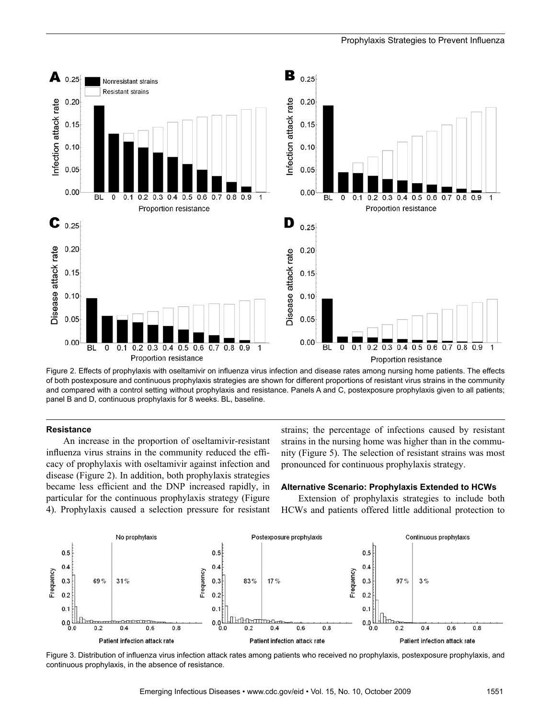

Figure 2. Effects of prophylaxis with oseltamivir on influenza virus infection and disease rates among nursing home patients. The effects of both postexposure and continuous prophylaxis strategies are shown for different proportions of resistant virus strains in the community and compared with a control setting without prophylaxis and resistance. Panels A and C, postexposure prophylaxis given to all patients; panel B and D, continuous prophylaxis for 8 weeks. BL, baseline.

#### **Resistance**

An increase in the proportion of oseltamivir-resistant influenza virus strains in the community reduced the efficacy of prophylaxis with oseltamivir against infection and disease (Figure 2). In addition, both prophylaxis strategies became less efficient and the DNP increased rapidly, in particular for the continuous prophylaxis strategy (Figure 4). Prophylaxis caused a selection pressure for resistant

strains; the percentage of infections caused by resistant strains in the nursing home was higher than in the community (Figure 5). The selection of resistant strains was most pronounced for continuous prophylaxis strategy.

#### **Alternative Scenario: Prophylaxis Extended to HCWs**

Extension of prophylaxis strategies to include both HCWs and patients offered little additional protection to



Figure 3. Distribution of influenza virus infection attack rates among patients who received no prophylaxis, postexposure prophylaxis, and continuous prophylaxis, in the absence of resistance.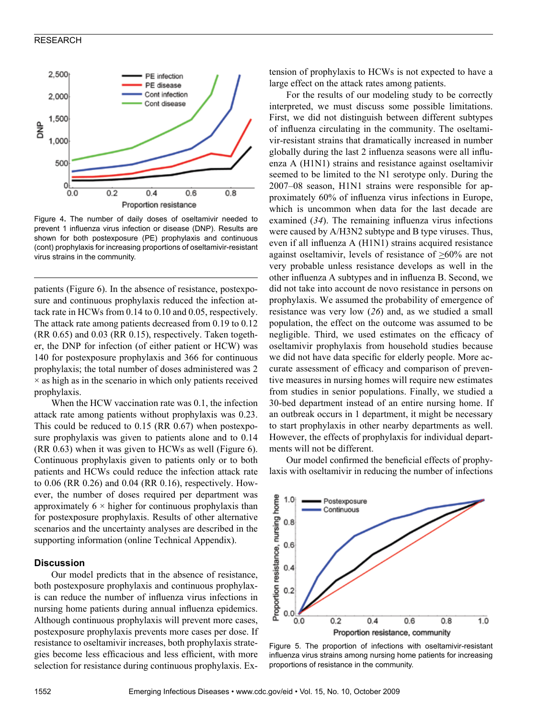

Figure 4**.** The number of daily doses of oseltamivir needed to prevent 1 influenza virus infection or disease (DNP). Results are shown for both postexposure (PE) prophylaxis and continuous (cont) prophylaxis for increasing proportions of oseltamivir-resistant virus strains in the community.

patients (Figure 6). In the absence of resistance, postexposure and continuous prophylaxis reduced the infection attack rate in HCWs from 0.14 to 0.10 and 0.05, respectively. The attack rate among patients decreased from 0.19 to 0.12 (RR 0.65) and 0.03 (RR 0.15), respectively. Taken together, the DNP for infection (of either patient or HCW) was 140 for postexposure prophylaxis and 366 for continuous prophylaxis; the total number of doses administered was 2  $\times$  as high as in the scenario in which only patients received prophylaxis.

When the HCW vaccination rate was 0.1, the infection attack rate among patients without prophylaxis was 0.23. This could be reduced to 0.15 (RR 0.67) when postexposure prophylaxis was given to patients alone and to 0.14 (RR 0.63) when it was given to HCWs as well (Figure 6). Continuous prophylaxis given to patients only or to both patients and HCWs could reduce the infection attack rate to 0.06 (RR 0.26) and 0.04 (RR 0.16), respectively. However, the number of doses required per department was approximately  $6 \times$  higher for continuous prophylaxis than for postexposure prophylaxis. Results of other alternative scenarios and the uncertainty analyses are described in the supporting information (online Technical Appendix).

#### **Discussion**

Our model predicts that in the absence of resistance, both postexposure prophylaxis and continuous prophylaxis can reduce the number of influenza virus infections in nursing home patients during annual influenza epidemics. Although continuous prophylaxis will prevent more cases, postexposure prophylaxis prevents more cases per dose. If resistance to oseltamivir increases, both prophylaxis strategies become less efficacious and less efficient, with more selection for resistance during continuous prophylaxis. Extension of prophylaxis to HCWs is not expected to have a large effect on the attack rates among patients.

For the results of our modeling study to be correctly interpreted, we must discuss some possible limitations. First, we did not distinguish between different subtypes of influenza circulating in the community. The oseltamivir-resistant strains that dramatically increased in number globally during the last 2 influenza seasons were all influenza A (H1N1) strains and resistance against oseltamivir seemed to be limited to the N1 serotype only. During the 2007–08 season, H1N1 strains were responsible for approximately 60% of influenza virus infections in Europe, which is uncommon when data for the last decade are examined (*34*). The remaining influenza virus infections were caused by A/H3N2 subtype and B type viruses. Thus, even if all influenza A (H1N1) strains acquired resistance against oseltamivir, levels of resistance of >60% are not very probable unless resistance develops as well in the other influenza A subtypes and in influenza B. Second, we did not take into account de novo resistance in persons on prophylaxis. We assumed the probability of emergence of resistance was very low (*26*) and, as we studied a small population, the effect on the outcome was assumed to be negligible. Third, we used estimates on the efficacy of oseltamivir prophylaxis from household studies because we did not have data specific for elderly people. More accurate assessment of efficacy and comparison of preventive measures in nursing homes will require new estimates from studies in senior populations. Finally, we studied a 30-bed department instead of an entire nursing home. If an outbreak occurs in 1 department, it might be necessary to start prophylaxis in other nearby departments as well. However, the effects of prophylaxis for individual departments will not be different.

Our model confirmed the beneficial effects of prophylaxis with oseltamivir in reducing the number of infections



Figure 5. The proportion of infections with oseltamivir-resistant influenza virus strains among nursing home patients for increasing proportions of resistance in the community.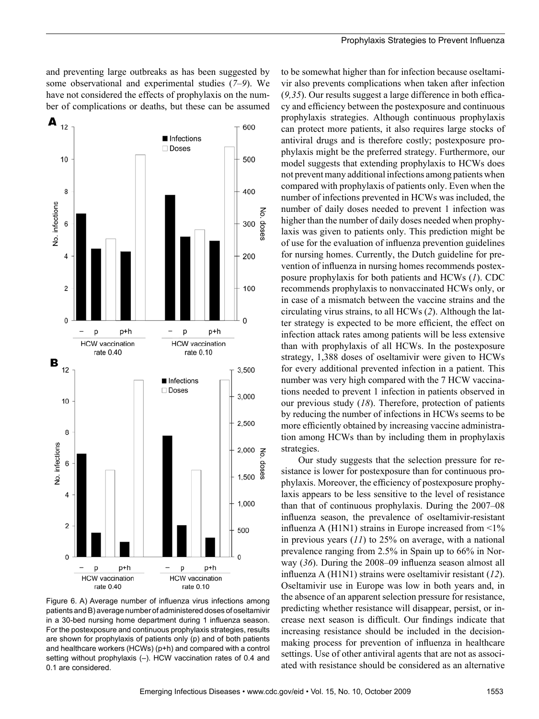and preventing large outbreaks as has been suggested by some observational and experimental studies (*7*–*9*). We have not considered the effects of prophylaxis on the number of complications or deaths, but these can be assumed



Figure 6. A) Average number of influenza virus infections among patients and B) average number of administered doses of oseltamivir in a 30-bed nursing home department during 1 influenza season. For the postexposure and continuous prophylaxis strategies, results are shown for prophylaxis of patients only (p) and of both patients and healthcare workers (HCWs) (p+h) and compared with a control setting without prophylaxis (–). HCW vaccination rates of 0.4 and 0.1 are considered.

to be somewhat higher than for infection because oseltamivir also prevents complications when taken after infection (*9,35*). Our results suggest a large difference in both efficacy and efficiency between the postexposure and continuous prophylaxis strategies. Although continuous prophylaxis can protect more patients, it also requires large stocks of antiviral drugs and is therefore costly; postexposure prophylaxis might be the preferred strategy. Furthermore, our model suggests that extending prophylaxis to HCWs does not prevent many additional infections among patients when compared with prophylaxis of patients only. Even when the number of infections prevented in HCWs was included, the number of daily doses needed to prevent 1 infection was higher than the number of daily doses needed when prophylaxis was given to patients only. This prediction might be of use for the evaluation of influenza prevention guidelines for nursing homes. Currently, the Dutch guideline for prevention of influenza in nursing homes recommends postexposure prophylaxis for both patients and HCWs (*1*). CDC recommends prophylaxis to nonvaccinated HCWs only, or in case of a mismatch between the vaccine strains and the circulating virus strains, to all HCWs (*2*). Although the latter strategy is expected to be more efficient, the effect on infection attack rates among patients will be less extensive than with prophylaxis of all HCWs. In the postexposure strategy, 1,388 doses of oseltamivir were given to HCWs for every additional prevented infection in a patient. This number was very high compared with the 7 HCW vaccinations needed to prevent 1 infection in patients observed in our previous study (*18*). Therefore, protection of patients by reducing the number of infections in HCWs seems to be more efficiently obtained by increasing vaccine administration among HCWs than by including them in prophylaxis strategies.

Our study suggests that the selection pressure for resistance is lower for postexposure than for continuous prophylaxis. Moreover, the efficiency of postexposure prophylaxis appears to be less sensitive to the level of resistance than that of continuous prophylaxis. During the 2007–08 influenza season, the prevalence of oseltamivir-resistant influenza A (H1N1) strains in Europe increased from  $\leq 1\%$ in previous years (*11*) to 25% on average, with a national prevalence ranging from 2.5% in Spain up to 66% in Norway (*36*). During the 2008–09 influenza season almost all influenza A (H1N1) strains were oseltamivir resistant (*12*). Oseltamivir use in Europe was low in both years and, in the absence of an apparent selection pressure for resistance, predicting whether resistance will disappear, persist, or increase next season is difficult. Our findings indicate that increasing resistance should be included in the decisionmaking process for prevention of influenza in healthcare settings. Use of other antiviral agents that are not as associated with resistance should be considered as an alternative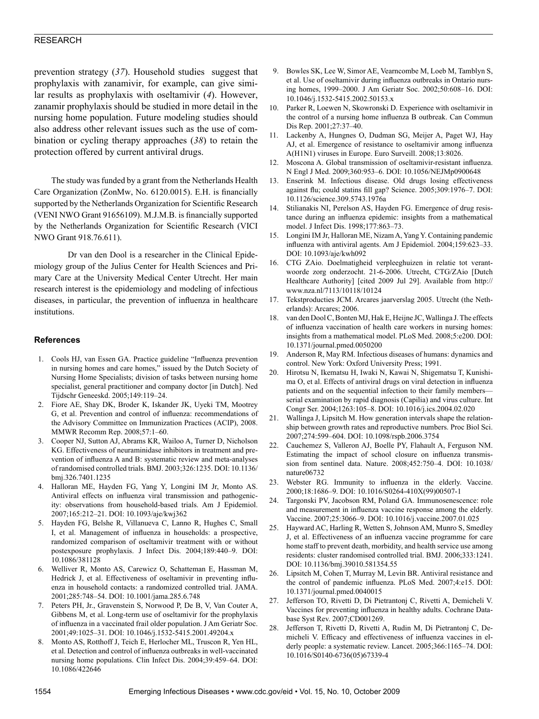prevention strategy (*37*). Household studies suggest that prophylaxis with zanamivir, for example, can give similar results as prophylaxis with oseltamivir (*4*). However, zanamir prophylaxis should be studied in more detail in the nursing home population. Future modeling studies should also address other relevant issues such as the use of combination or cycling therapy approaches (*38*) to retain the protection offered by current antiviral drugs.

The study was funded by a grant from the Netherlands Health Care Organization (ZonMw, No. 6120.0015). E.H. is financially supported by the Netherlands Organization for Scientific Research (VENI NWO Grant 91656109). M.J.M.B. is financially supported by the Netherlands Organization for Scientific Research (VICI NWO Grant 918.76.611).

Dr van den Dool is a researcher in the Clinical Epidemiology group of the Julius Center for Health Sciences and Primary Care at the University Medical Center Utrecht. Her main research interest is the epidemiology and modeling of infectious diseases, in particular, the prevention of influenza in healthcare institutions.

## **References**

- 1. Cools HJ, van Essen GA. Practice guideline "Influenza prevention in nursing homes and care homes," issued by the Dutch Society of Nursing Home Specialists; division of tasks between nursing home specialist, general practitioner and company doctor [in Dutch]. Ned Tijdschr Geneeskd. 2005;149:119–24.
- 2. Fiore AE, Shay DK, Broder K, Iskander JK, Uyeki TM, Mootrey G, et al. Prevention and control of influenza: recommendations of the Advisory Committee on Immunization Practices (ACIP), 2008. MMWR Recomm Rep. 2008;57:1–60.
- 3. Cooper NJ, Sutton AJ, Abrams KR, Wailoo A, Turner D, Nicholson KG. Effectiveness of neuraminidase inhibitors in treatment and prevention of influenza A and B: systematic review and meta-analyses of randomised controlled trials. BMJ. 2003;326:1235. DOI: 10.1136/ bmj.326.7401.1235
- 4. Halloran ME, Hayden FG, Yang Y, Longini IM Jr, Monto AS. Antiviral effects on influenza viral transmission and pathogenicity: observations from household-based trials. Am J Epidemiol. 2007;165:212–21. DOI: 10.1093/aje/kwj362
- 5. Hayden FG, Belshe R, Villanueva C, Lanno R, Hughes C, Small I, et al. Management of influenza in households: a prospective, randomized comparison of oseltamivir treatment with or without postexposure prophylaxis. J Infect Dis. 2004;189:440–9. DOI: 10.1086/381128
- 6. Welliver R, Monto AS, Carewicz O, Schatteman E, Hassman M, Hedrick J, et al. Effectiveness of oseltamivir in preventing influenza in household contacts: a randomized controlled trial. JAMA. 2001;285:748–54. DOI: 10.1001/jama.285.6.748
- 7. Peters PH, Jr., Gravenstein S, Norwood P, De B, V, Van Couter A, Gibbens M, et al. Long-term use of oseltamivir for the prophylaxis of influenza in a vaccinated frail older population. J Am Geriatr Soc. 2001;49:1025–31. DOI: 10.1046/j.1532-5415.2001.49204.x
- 8. Monto AS, Rotthoff J, Teich E, Herlocher ML, Truscon R, Yen HL, et al. Detection and control of influenza outbreaks in well-vaccinated nursing home populations. Clin Infect Dis. 2004;39:459–64. DOI: 10.1086/422646
- 9. Bowles SK, Lee W, Simor AE, Vearncombe M, Loeb M, Tamblyn S, et al. Use of oseltamivir during influenza outbreaks in Ontario nursing homes, 1999–2000. J Am Geriatr Soc. 2002;50:608–16. DOI: 10.1046/j.1532-5415.2002.50153.x
- 10. Parker R, Loewen N, Skowronski D. Experience with oseltamivir in the control of a nursing home influenza B outbreak. Can Commun Dis Rep. 2001;27:37–40.
- 11. Lackenby A, Hungnes O, Dudman SG, Meijer A, Paget WJ, Hay AJ, et al. Emergence of resistance to oseltamivir among influenza A(H1N1) viruses in Europe. Euro Surveill. 2008;13:8026.
- 12. Moscona A. Global transmission of oseltamivir-resistant influenza. N Engl J Med. 2009;360:953–6. DOI: 10.1056/NEJMp0900648
- 13. Enserink M. Infectious disease. Old drugs losing effectiveness against flu; could statins fill gap? Science. 2005;309:1976–7. DOI: 10.1126/science.309.5743.1976a
- 14. Stilianakis NI, Perelson AS, Hayden FG. Emergence of drug resistance during an influenza epidemic: insights from a mathematical model. J Infect Dis. 1998;177:863–73.
- 15. Longini IM Jr, Halloran ME, Nizam A, Yang Y. Containing pandemic influenza with antiviral agents. Am J Epidemiol. 2004;159:623–33. DOI: 10.1093/aje/kwh092
- 16. CTG ZAio. Doelmatigheid verpleeghuizen in relatie tot verantwoorde zorg onderzocht. 21-6-2006. Utrecht, CTG/ZAio [Dutch Healthcare Authority] [cited 2009 Jul 29]. Available from http:// www.nza.nl/7113/10118/10124
- 17. Tekstproducties JCM. Arcares jaarverslag 2005. Utrecht (the Netherlands): Arcares; 2006.
- 18. van den Dool C, Bonten MJ, Hak E, Heijne JC, Wallinga J. The effects of influenza vaccination of health care workers in nursing homes: insights from a mathematical model. PLoS Med. 2008;5:e200. DOI: 10.1371/journal.pmed.0050200
- 19. Anderson R, May RM. Infectious diseases of humans: dynamics and control. New York: Oxford University Press; 1991.
- 20. Hirotsu N, Ikematsu H, Iwaki N, Kawai N, Shigematsu T, Kunishima O, et al. Effects of antiviral drugs on viral detection in influenza patients and on the sequential infection to their family members serial examination by rapid diagnosis (Capilia) and virus culture. Int Congr Ser. 2004;1263:105–8. DOI: 10.1016/j.ics.2004.02.020
- 21. Wallinga J, Lipsitch M. How generation intervals shape the relationship between growth rates and reproductive numbers. Proc Biol Sci. 2007;274:599–604. DOI: 10.1098/rspb.2006.3754
- Cauchemez S, Valleron AJ, Boelle PY, Flahault A, Ferguson NM. Estimating the impact of school closure on influenza transmission from sentinel data. Nature. 2008;452:750–4. DOI: 10.1038/ nature06732
- 23. Webster RG. Immunity to influenza in the elderly. Vaccine. 2000;18:1686–9. DOI: 10.1016/S0264-410X(99)00507-1
- 24. Targonski PV, Jacobson RM, Poland GA. Immunosenescence: role and measurement in influenza vaccine response among the elderly. Vaccine. 2007;25:3066–9. DOI: 10.1016/j.vaccine.2007.01.025
- 25. Hayward AC, Harling R, Wetten S, Johnson AM, Munro S, Smedley J, et al. Effectiveness of an influenza vaccine programme for care home staff to prevent death, morbidity, and health service use among residents: cluster randomised controlled trial. BMJ. 2006;333:1241. DOI: 10.1136/bmj.39010.581354.55
- 26. Lipsitch M, Cohen T, Murray M, Levin BR. Antiviral resistance and the control of pandemic influenza. PLoS Med. 2007;4:e15. DOI: 10.1371/journal.pmed.0040015
- 27. Jefferson TO, Rivetti D, Di Pietrantonj C, Rivetti A, Demicheli V. Vaccines for preventing influenza in healthy adults. Cochrane Database Syst Rev. 2007;CD001269.
- 28. Jefferson T, Rivetti D, Rivetti A, Rudin M, Di Pietrantonj C, Demicheli V. Efficacy and effectiveness of influenza vaccines in elderly people: a systematic review. Lancet. 2005;366:1165–74. DOI: 10.1016/S0140-6736(05)67339-4